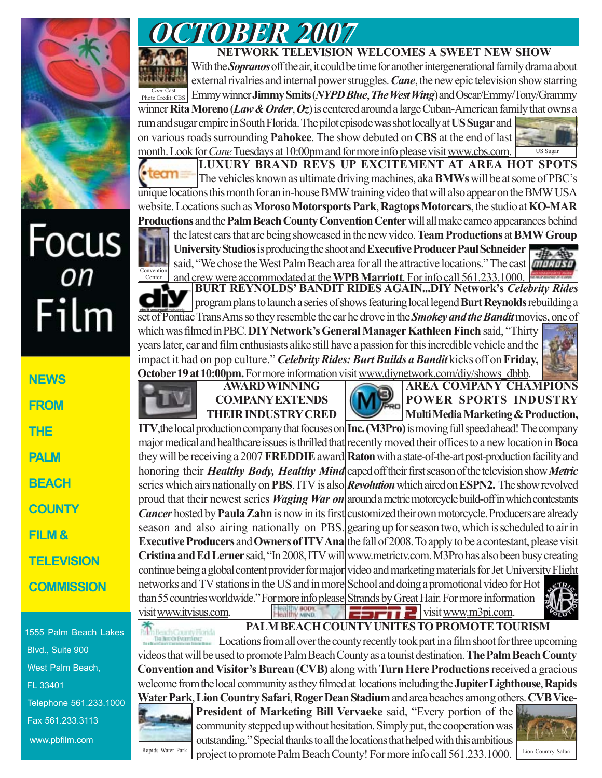

## Focus<br>*on* Film

**NEWS FROM THE PALM BEACH COUNTY FILM & TELEVISION COMMISSION**

1555 Palm Beach Lakes Blvd., Suite 900 West Palm Beach, FL 33401 Telephone 561.233.1000 Fax 561.233.3113 www.pbfilm.com

## *OCTOBER 2007 OCTOBER 2007*

## **NETWORK TELEVISION WELCOMES A SWEET NEW SHOW**

With the *Sopranos* off the air, it could be time for another intergenerational family drama about external rivalries and internal power struggles. *Cane*, the new epic television show starring *Cane* Cast Cast **Emmy winner Jimmy Smits** (*NYPD Blue, The West Wing*) and Oscar/Emmy/Tony/Grammy winner **Rita Moreno** (*Law & Order*, *Oz*) is centered around a large Cuban-American family that owns a rum and sugar empire in South Florida. The pilot episode was shot locally at **US Sugar** and

on various roads surrounding **Pahokee**. The show debuted on **CBS** at the end of last month. Look for *Cane* Tuesdays at 10:00pm and for more info please visit www.cbs.com.



**LUXURY BRAND REVS UP EXCITEMENT AT AREA HOT SPOTS** The vehicles known as ultimate driving machines, aka **BMWs** will be at some of PBC's unique locations this month for an in-house BMW training video that will also appear on the BMW USA website. Locations such as **Moroso Motorsports Park**, **Ragtops Motorcars**, the studio at **KO-MAR Productions** and the **Palm Beach County Convention Center** will all make cameo appearances behind the latest cars that are being showcased in the new video. **Team Productions** at **BMW Group**

**University Studios** is producing the shoot and **Executive Producer Paul Schneider** said, "We chose the West Palm Beach area for all the attractive locations." The cast and crew were accommodated at the **WPB Marriott**. For info call 561.233.1000. Conventio Center



**BURT REYNOLDS' BANDIT RIDES AGAIN...DIY Network's** *Celebrity Rides* program plans to launch a series of shows featuring local legend **Burt Reynolds** rebuilding a set of Pontiac Trans Ams so they resemble the car he drove in the *Smokey and the Bandit* movies, one of

which was filmed in PBC. **DIY Network's General Manager Kathleen Finch** said, "Thirty years later, car and film enthusiasts alike still have a passion for this incredible vehicle and the impact it had on pop culture." *Celebrity Rides: Burt Builds a Bandit* kicks off on **Friday, October 19 at 10:00pm.** For more information visit www.diynetwork.com/diy/shows\_dbbb.



## **AWARD WINNING COMPANY EXTENDS THEIR INDUSTRY CRED**

**AREA COMPANY CHAMPIONS POWER SPORTS INDUSTRY Multi Media Marketing & Production,**

**ITV**, the local production company that focuses on **Inc. (M3Pro)** is moving full speed ahead! The company major medical and healthcare issues is thrilled that recently moved their offices to a new location in **Boca** they will be receiving a 2007 **FREDDIE** award **Raton** with a state-of-the-art post-production facility and honoring their *Healthy Body, Healthy Mind* caped off their first season of the television show *Metric* series which airs nationally on **PBS**. ITV is also *Revolution* which aired on **ESPN2.** The show revolved proud that their newest series *Waging War on* around a metric motorcycle build-off in which contestants *Cancer* hosted by **Paula Zahn** is now in its first customized their own motorcycle. Producers are already season and also airing nationally on PBS. gearing up for season two, which is scheduled to air in **Executive Producers and Owners of ITV Ana** the fall of 2008. To apply to be a contestant, please visit **Cristina and Ed Lerner** said, "In 2008, ITV will www.metrictv.com. M3Pro has also been busy creating continue being a global content provider for major video and marketing materials for Jet University Flight networks and TV stations in the US and in more School and doing a promotional video for Hot  $CTR$ 

than 55 countries worldwide." For more info please Strands by Great Hair. For more information  $\blacksquare$  visit www.m3pi.com.



**PALM BEACH COUNTY UNITES TO PROMOTE TOURISM** visit www.itvisus.com.

Beach County Forida<br>Baltero Evanteur Locations from all over the county recently took part in a film shoot for three upcoming videos that will be used to promote Palm Beach County as a tourist destination. **The Palm Beach County Convention and Visitor's Bureau (CVB)** along with **Turn Here Productions** received a gracious welcome from the local community as they filmed at locations including the **Jupiter Lighthouse**, **Rapids Water Park**, **Lion Country Safari**, **Roger Dean Stadium** and area beaches among others. **CVB Vice-**

**President of Marketing Bill Vervaeke** said, "Every portion of the community stepped up without hesitation. Simply put, the cooperation was outstanding." Special thanks to all the locations that helped with this ambitious Rapids Water Park  $\Box$  project to promote Palm Beach County! For more info call 561.233.1000. Lion Country Safari